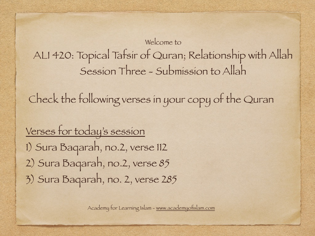#### Welcome to ALI 420: Topical Tafsir of Quran; Relationship with Allah Session Three - Submission to Allah

Check the following verses in your copy of the Quran

Verses for today's session 1) Sura Baqarah, no.2, verse 112 2) Sura Baqarah, no.2, verse 85 3) Sura Baqarah, no. 2, verse 285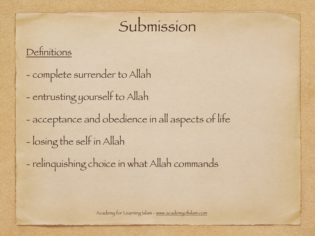## Submission

#### Definitions

- complete surrender to Allah
- entrusting yourself to Allah
- acceptance and obedience in all aspects of life
- losing the self in Allah
- relinquishing choice in what Allah commands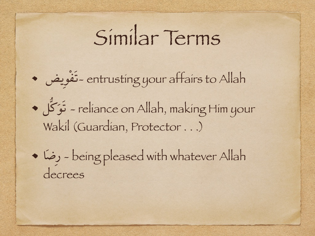# Similar Terms

يضِوْفَت- entrusting your affairs to Allah

كُّلَوَت - reliance on Allah, making Him your Wakil (Guardian, Protector . . .)

اَضِر - being pleased with whatever Allah decrees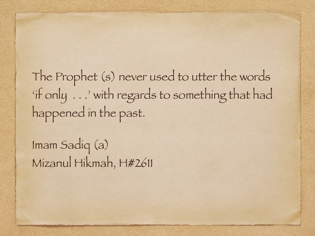The Prophet (s) never used to utter the words 'if only . . .' with regards to something that had happened in the past.

Imam Sadiq (a) Mizanul Hikmah, H#2611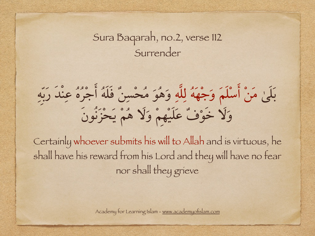#### Sura Baqarah, no.2, verse 112 Surrender

بَلَىٰ مَنْ أسْلَمَ وَجْهَهُ لِلَّهِ وَهُوَ مُحْسِنٌ فَلَهُ أجْرُهُ عِنْدَ رَبِّهِ وَلَا خَوْفٌ عَلَيْهِمْ وَلَا هُمْ يَحْزَنُونَ

ِCertainly whoever submits his will to Allah and is virtuous, he shall have his reward from his Lord and they will have no fear nor shall they grieve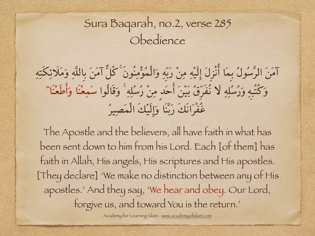### Sura Baqarah, no.2, verse 285 Obedience

آمَنَ الرَّسُولُ بِمَا أنْزِلَ إلَيْهِ مِنْ رَبِّهِ وَالْمُؤمِنُونَۚكُلٌّ آمَنَ بِاللَّهِ وَمَلَائِكَتِهِ وَكُتُبِهِ وَرُسُلِهِ لَا نُفَرِّقُ بَيْنَ أحَدٍ مِنْ رُسُلِهِۚ وَقَالُوا سَمِعْنَا وَأطَعْنَاۖ غُفْرَانَكَ رَبَّنَا وَإلَيْكَ الْمَصِيرُ

The Apostle and the believers, all have faith in what has been sent down to him from his Lord. Each [of them] has faith in Allah, His angels, His scriptures and His apostles. [They declare] 'We make no distinction between any of His apostles.' And they say, 'We hear and obey. Our Lord, forgive us, and toward You is the return.'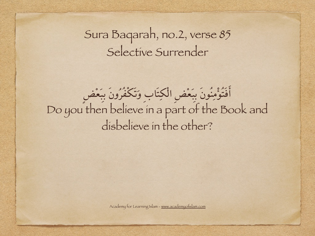### Sura Baqarah, no.2, verse 85 Selective Surrender

## أفَتُؤمِنُونَ بِبَعْضِ الْکِتَابِ وَتَكْفُرُونَ بِبَعْضٍ Do you then believe in a part of the Book and disbelieve in the other?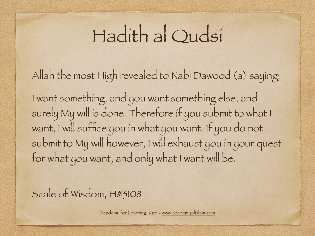## Hadith al Qudsi

Allah the most High revealed to Nabi Dawood (a) saying;

I want something, and you want something else, and surely My will is done. Therefore if you submit to what I want, I will suffice you in what you want. If you do not submit to My will however, I will exhaust you in your quest for what you want, and only what I want will be.

Scale of Wisdom, H#3108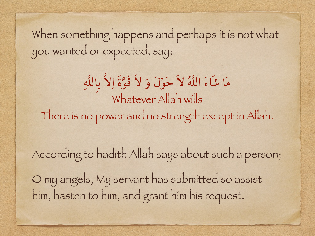When something happens and perhaps it is not what you wanted or expected, say;

مَا شَاءَ اللَّهُ لاَ حَوْلَ وَ لاَ قُوَّةَ اِلاَّ بِاللَّهِ Whatever Allah wills There is no power and no strength except in Allah.

According to hadith Allah says about such a person; O my angels, My servant has submitted so assist him, hasten to him, and grant him his request.